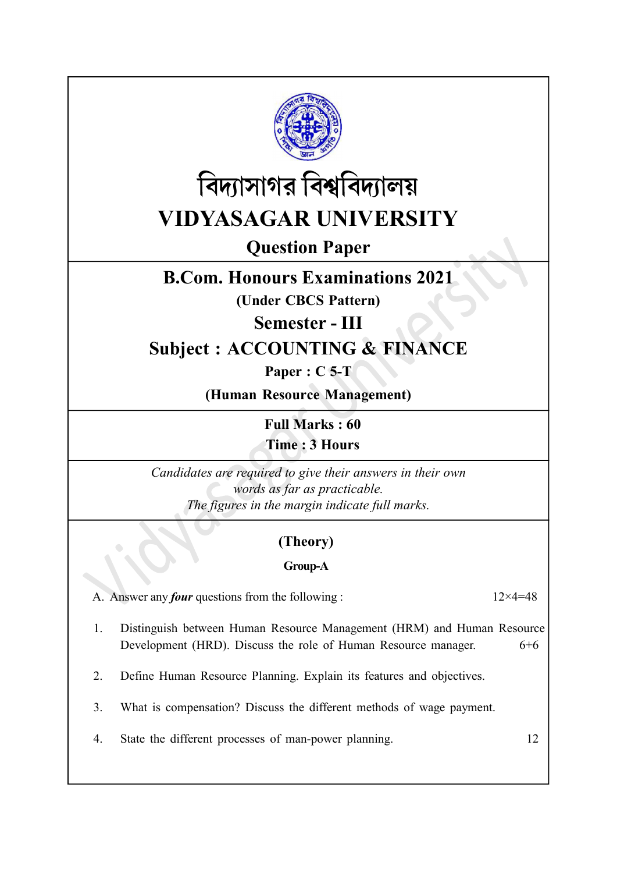



Question Paper

## B.Com. Honours Examinations 2021

(Under CBCS Pattern)

Semester - III

# Subject : ACCOUNTING & FINANCE

Paper : C 5-T

(Human Resource Management)

Full Marks : 60 Time : 3 Hours

Candidates are required to give their answers in their own words as far as practicable. The figures in the margin indicate full marks.

## (Theory)

### Group-A

A. Answer any *four* questions from the following :  $12 \times 4 = 48$ 

- 1. Distinguish between Human Resource Management (HRM) and Human Resource Development (HRD). Discuss the role of Human Resource manager. 6+6
- 2. Define Human Resource Planning. Explain its features and objectives.
- 3. What is compensation? Discuss the different methods of wage payment.
- 4. State the different processes of man-power planning. 12